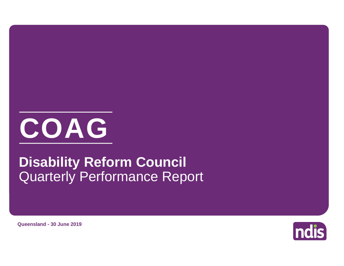

# Quarterly Performance Report **Disability Reform Council**

**ndis** 

**Queensland - 30 June 2019**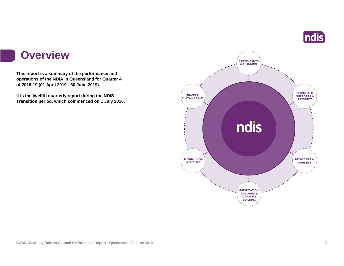

#### **Overview**

**This report is a summary of the performance and operations of the NDIA in Queensland for Quarter 4 of 2018-19 (01 April 2019 - 30 June 2019).**

**It is the twelfth quarterly report during the NDIS Transition period, which commenced on 1 July 2016.** 

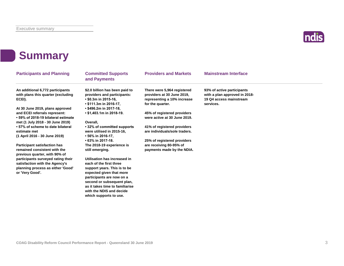

### **Summary**

| <b>Participants and Planning</b>                                                                                                            | <b>Committed Supports</b><br>and Payments                                           | <b>Providers and Markets</b>                                 | <b>Mainstream Interface</b>                                 |  |  |
|---------------------------------------------------------------------------------------------------------------------------------------------|-------------------------------------------------------------------------------------|--------------------------------------------------------------|-------------------------------------------------------------|--|--|
| An additional 6,772 participants<br>with plans this quarter (excluding                                                                      | \$2.0 billion has been paid to<br>providers and participants:                       | There were 5,964 registered<br>providers at 30 June 2019,    | 93% of active participants<br>with a plan approved in 2018- |  |  |
| ECEI).                                                                                                                                      | $\cdot$ \$0.3m in 2015-16,                                                          | representing a 10% increase                                  | 19 Q4 access mainstream                                     |  |  |
|                                                                                                                                             | $\cdot$ \$111.3m in 2016-17,                                                        | for the quarter.                                             | services.                                                   |  |  |
| At 30 June 2019, plans approved<br>and ECEI referrals represent:<br>• 59% of 2018-19 bilateral estimate<br>met (1 July 2018 - 30 June 2019) | • \$496.2m in 2017-18,<br>• \$1,403.1m in 2018-19.<br>Overall.                      | 45% of registered providers<br>were active at 30 June 2019.  |                                                             |  |  |
| • 57% of scheme to date bilateral<br>estimate met<br>(1 April 2016 - 30 June 2019)                                                          | • 32% of committed supports<br>were utilised in 2015-16,<br>$\cdot$ 56% in 2016-17. | 41% of registered providers<br>are individuals/sole traders. |                                                             |  |  |
|                                                                                                                                             | • 63% in 2017-18.                                                                   | 25% of registered providers                                  |                                                             |  |  |
| <b>Participant satisfaction has</b><br>remained consistent with the<br>previous quarter, with 90% of                                        | The 2018-19 experience is<br>still emerging.                                        | are receiving 80-95% of<br>payments made by the NDIA.        |                                                             |  |  |
| participants surveyed rating their<br>satisfaction with the Agency's                                                                        | Utilisation has increased in<br>each of the first three                             |                                                              |                                                             |  |  |
| planning process as either 'Good'                                                                                                           | support years. This is to be                                                        |                                                              |                                                             |  |  |
| or 'Very Good'.                                                                                                                             | expected given that more<br>participants are now on a<br>second or subsequent plan, |                                                              |                                                             |  |  |
|                                                                                                                                             | as it takes time to familiarise<br>with the NDIS and decide                         |                                                              |                                                             |  |  |

**which supports to use.**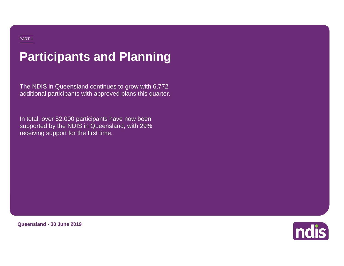## **Participants and Planning**

The NDIS in Queensland continues to grow with 6,772 additional participants with approved plans this quarter.

In total, over 52,000 participants have now been supported by the NDIS in Queensland, with 29% receiving support for the first time.



**Queensland - 30 June 2019**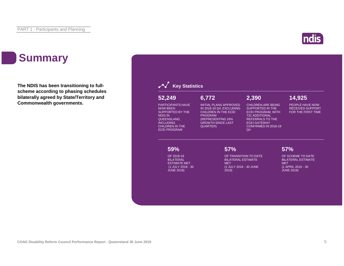#### ndi

### **Summary**

**The NDIS has been transitioning to fullscheme according to phasing schedules bilaterally agreed by State/Territory and Commonwealth governments.**

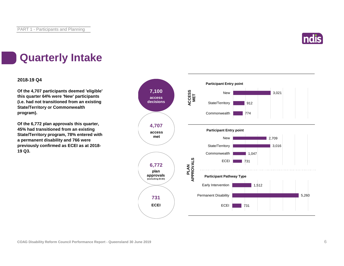

### **Quarterly Intake**

#### **2018-19 Q4**

**Of the 4,707 participants deemed 'eligible' this quarter 64% were 'New' participants (i.e. had not transitioned from an existing State/Territory or Commonwealth program).**

**Of the 6,772 plan approvals this quarter, 45% had transitioned from an existing State/Territory program, 78% entered with a permanent disability and 766 were previously confirmed as ECEI as at 2018- 19 Q3.**

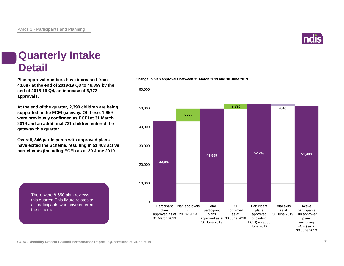

#### **Quarterly Intake Detail**

**Plan approval numbers have increased from 43,087 at the end of 2018-19 Q3 to 49,859 by the end of 2018-19 Q4, an increase of 6,772 approvals.**

**At the end of the quarter, 2,390 children are being supported in the ECEI gateway. Of these, 1,659 were previously confirmed as ECEI at 31 March 2019 and an additional 731 children entered the gateway this quarter.**

**Overall, 846 participants with approved plans have exited the Scheme, resulting in 51,403 active participants (including ECEI) as at 30 June 2019.**

> There were 8,650 plan reviews this quarter. This figure relates to all participants who have entered the scheme.



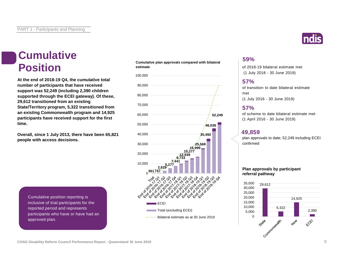# **Cumulative**

**At the end of 2018-19 Q4, the cumulative total number of participants that have received support was 52,249 (including 2,390 children supported through the ECEI gateway). Of these, 29,612 transitioned from an existing State/Territory program, 5,322 transitioned from an existing Commonwealth program and 14,925 participants have received support for the first time.**

**Overall, since 1 July 2013, there have been 65,821 people with access decisions.**

**Cumulative plan approvals compared with bilateral estimate Position** estimate plan approvais compared with bilateral of 2018-19 bilateral estimate met



Cumulative position reporting is inclusive of trial participants for the reported period and represents participants who have or have had an approved plan.



(1 July 2018 - 30 June 2019)

#### **57%**

of transition to date bilateral estimate met (1 July 2016 - 30 June 2019)

#### **57%**

of scheme to date bilateral estimate met (1 April 2016 - 30 June 2019)

#### **49,859**

plan approvals to date; 52,249 including ECEI confirmed

#### **Plan approvals by participant referral pathway**

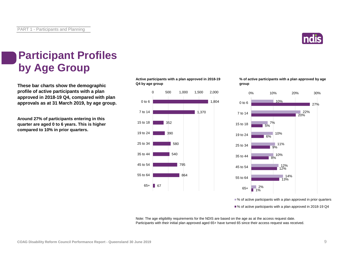

### **Participant Profiles by Age Group**

**These bar charts show the demographic profile of active participants with a plan approved in 2018-19 Q4, compared with plan approvals as at 31 March 2019, by age group.**

**Around 27% of participants entering in this quarter are aged 0 to 6 years. This is higher compared to 10% in prior quarters.**

**Active participants with a plan approved in 2018-19 Q4 by age group**



**% of active participants with a plan approved by age group**



■% of active participants with a plan approved in prior quarters

■% of active participants with a plan approved in 2018-19 Q4

Note: The age eligibility requirements for the NDIS are based on the age as at the access request date. Participants with their initial plan approved aged 65+ have turned 65 since their access request was received.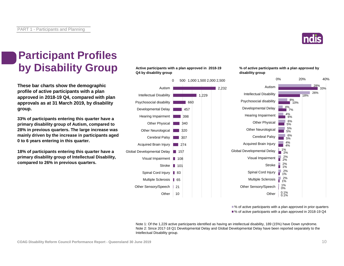

#### **Participant Profiles by Disability Group**

**These bar charts show the demographic profile of active participants with a plan approved in 2018-19 Q4, compared with plan approvals as at 31 March 2019, by disability group.**

**33% of participants entering this quarter have a primary disability group of Autism, compared to 28% in previous quarters. The large increase was mainly driven by the increase in participants aged 0 to 6 years entering in this quarter.**

**18% of participants entering this quarter have a primary disability group of Intellectual Disability, compared to 26% in previous quarters.**

#### **Active participants with a plan approved in 2018-19 Q4 by disability group**



**% of active participants with a plan approved by disability group**



■% of active participants with a plan approved in prior quarters ■% of active participants with a plan approved in 2018-19 Q4

Note 1: Of the 1,229 active participants identified as having an intellectual disability, 189 (15%) have Down syndrome. Note 2: Since 2017-18 Q1 Developmental Delay and Global Developmental Delay have been reported separately to the Intellectual Disability group.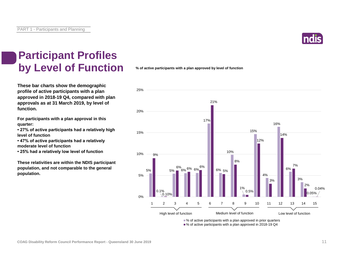

### **Participant Profiles by Level of Function**

**These bar charts show the demographic profile of active participants with a plan approved in 2018-19 Q4, compared with plan approvals as at 31 March 2019, by level of function.**

**For participants with a plan approval in this quarter:** 

**• 27% of active participants had a relatively high level of function**

**• 47% of active participants had a relatively moderate level of function** 

**• 25% had a relatively low level of function**

**These relativities are within the NDIS participant population, and not comparable to the general population.**

#### **% of active participants with a plan approved by level of function**



■% of active participants with a plan approved in 2018-19 Q4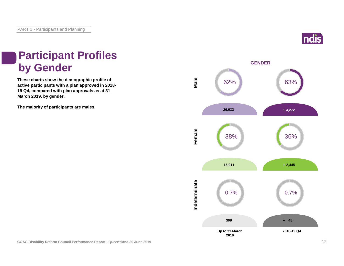

### **Participant Profiles by Gender**

**These charts show the demographic profile of active participants with a plan approved in 2018- 19 Q4, compared with plan approvals as at 31 March 2019, by gender.**

**The majority of participants are males.**

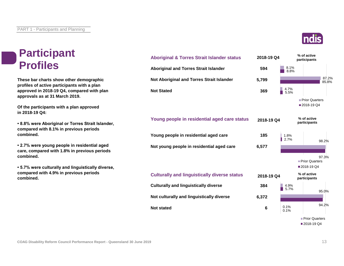### **Participant Profiles**

**These bar charts show other demographic profiles of active participants with a plan approved in 2018-19 Q4, compared with plan approvals as at 31 March 2019.**

**Of the participants with a plan approved in 2018-19 Q4:**

**• 8.8% were Aboriginal or Torres Strait Islander, compared with 8.1% in previous periods combined.**

**• 2.7% were young people in residential aged care, compared with 1.8% in previous periods combined.**

**• 5.7% were culturally and linguistically diverse, compared with 4.9% in previous periods combined.**





Prior Quarters ■ 2018-19 Q4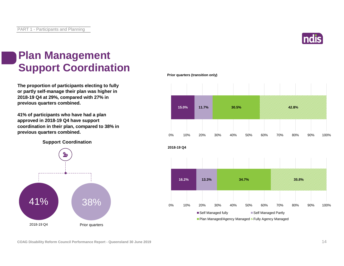

### **Plan Management Support Coordination**

**The proportion of participants electing to fully or partly self-manage their plan was higher in 2018-19 Q4 at 29%, compared with 27% in previous quarters combined.**

**41% of participants who have had a plan approved in 2018-19 Q4 have support coordination in their plan, compared to 38% in previous quarters combined.**

**Support Coordination**



#### **Prior quarters (transition only)**



**COAG Disability Reform Council Performance Report - Queensland 30 June 2019** 14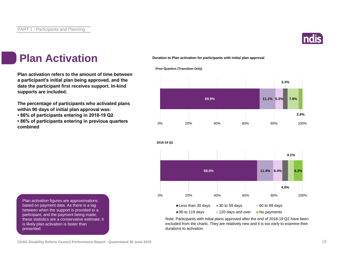

### **Plan Activation**

**Plan activation refers to the amount of time between a participant's initial plan being approved, and the date the participant first receives support. In-kind supports are included.**

**The percentage of participants who activated plans within 90 days of initial plan approval was:** 

**• 86% of participants entering in 2018-19 Q2**

**• 86% of participants entering in previous quarters combined**

**Duration to Plan activation for participants with initial plan approval**

**Prior Quarters (Transition Only)**





Note: Participants with initial plans approved after the end of 2018-19 Q2 have been excluded from the charts. They are relatively new and it is too early to examine their durations to activation.

Plan activation figures are approximations based on payment data. As there is a lag between when the support is provided to a participant, and the payment being made, these statistics are a conservative estimate; it is likely plan activation is faster than presented.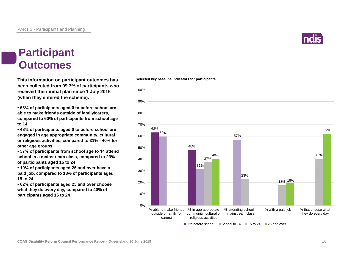

#### **Participant Outcomes**

**This information on participant outcomes has been collected from 99.7% of participants who received their initial plan since 1 July 2016 (when they entered the scheme).**

**• 63% of participants aged 0 to before school are able to make friends outside of family/carers, compared to 60% of participants from school age to 14**

**• 48% of participants aged 0 to before school are engaged in age appropriate community, cultural or religious activities, compared to 31% - 40% for other age groups**

**• 57% of participants from school age to 14 attend school in a mainstream class, compared to 23% of participants aged 15 to 24**

**• 19% of participants aged 25 and over have a paid job, compared to 18% of participants aged 15 to 24**

**• 62% of participants aged 25 and over choose what they do every day, compared to 40% of participants aged 15 to 24**

#### **Selected key baseline indicators for participants**

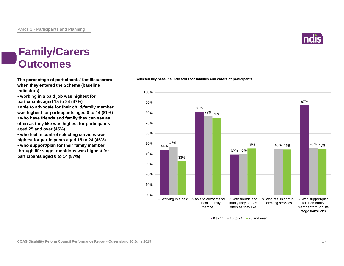

#### **Family/Carers Outcomes**

**The percentage of participants' families/carers when they entered the Scheme (baseline indicators):**

**• working in a paid job was highest for participants aged 15 to 24 (47%)**

**• able to advocate for their child/family member was highest for participants aged 0 to 14 (81%)**

**• who have friends and family they can see as often as they like was highest for participants aged 25 and over (45%)**

**• who feel in control selecting services was highest for participants aged 15 to 24 (45%)**

**• who support/plan for their family member through life stage transitions was highest for participants aged 0 to 14 (87%)**





 $\blacksquare$ 0 to 14  $\blacksquare$  15 to 24  $\blacksquare$  25 and over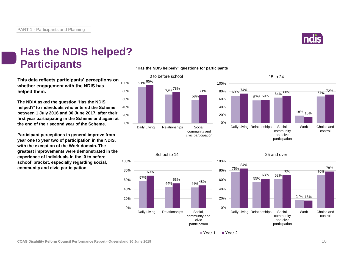

**This data reflects participants' perceptions on whether engagement with the NDIS has helped them.**

**The NDIA asked the question 'Has the NDIS helped?' to individuals who entered the Scheme between 1 July 2016 and 30 June 2017, after their first year participating in the Scheme and again at the end of their second year of the Scheme.**

**Participant perceptions in general improve from year one to year two of participation in the NDIS, with the exception of the Work domain. The greatest improvements were demonstrated in the experience of individuals in the '0 to before school' bracket, especially regarding social, community and civic participation.**

#### **"Has the NDIS helped?" questions for participants**









25 and over



■ Year 1 ■ Year 2

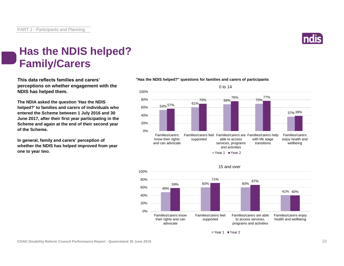

### **Has the NDIS helped? Family/Carers**

**This data reflects families and carers' perceptions on whether engagement with the NDIS has helped them.**

**The NDIA asked the question 'Has the NDIS helped?' to families and carers of individuals who entered the Scheme between 1 July 2016 and 30 June 2017, after their first year participating in the Scheme and again at the end of their second year of the Scheme.**

**In general, family and carers' perception of whether the NDIS has helped improved from year one to year two.**



#### **"Has the NDIS helped?" questions for families and carers of participants**



Year 1 Year 2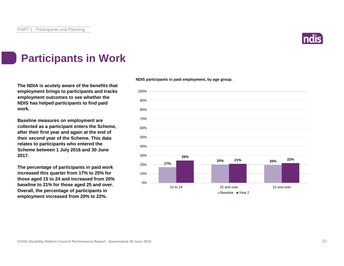

### **Participants in Work**

**The NDIA is acutely aware of the benefits that employment brings to participants and tracks employment outcomes to see whether the NDIS has helped participants to find paid work.**

**Baseline measures on employment are collected as a participant enters the Scheme, after their first year and again at the end of their second year of the Scheme. This data relates to participants who entered the Scheme between 1 July 2016 and 30 June 2017.**

**The percentage of participants in paid work increased this quarter from 17% to 25% for those aged 15 to 24 and increased from 20% baseline to 21% for those aged 25 and over. Overall, the percentage of participants in employment increased from 20% to 22%.**

**NDIS participants in paid employment, by age group.**

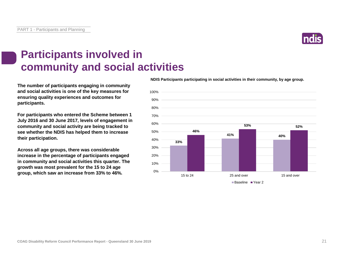

### **Participants involved in community and social activities**

**The number of participants engaging in community and social activities is one of the key measures for ensuring quality experiences and outcomes for participants.**

**For participants who entered the Scheme between 1 July 2016 and 30 June 2017, levels of engagement in community and social activity are being tracked to see whether the NDIS has helped them to increase their participation.**

**Across all age groups, there was considerable increase in the percentage of participants engaged in community and social activities this quarter. The growth was most prevalent for the 15 to 24 age group, which saw an increase from 33% to 46%.**

**NDIS Participants participating in social activities in their community, by age group.**

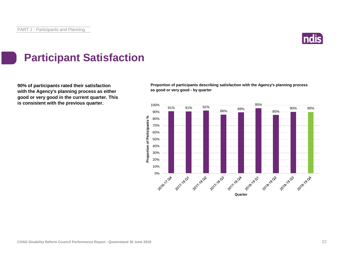

### **Participant Satisfaction**

**90% of participants rated their satisfaction with the Agency's planning process as either good or very good in the current quarter. This is consistent with the previous quarter.**

**Proportion of participants describing satisfaction with the Agency's planning process as good or very good - by quarter**

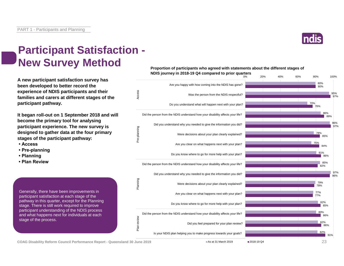

0% 20% 40% 60% 80% 100%

#### **Participant Satisfaction - New Survey Method**

**A new participant satisfaction survey has been developed to better record the experience of NDIS participants and their families and carers at different stages of the participant pathway.**

**It began roll-out on 1 September 2018 and will become the primary tool for analysing participant experience. The new survey is designed to gather data at the four primary stages of the participant pathway:**

- **Access**
- **Pre-planning**
- **Planning**
- **Plan Review**

Generally, there have been improvements in participant satisfaction at each stage of the pathway in this quarter, except for the Planning stage. There is still work required to improve participant understanding of the NDIS process and what happens next for individuals at each stage of the process.







 $\blacksquare$  As at 31 March 2019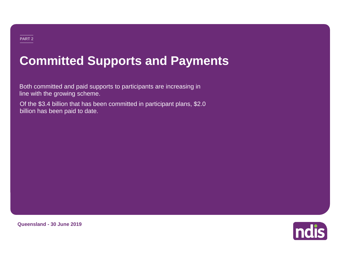### **Committed Supports and Payments**

Both committed and paid supports to participants are increasing in line with the growing scheme.

Of the \$3.4 billion that has been committed in participant plans, \$2.0 billion has been paid to date.



**Queensland - 30 June 2019**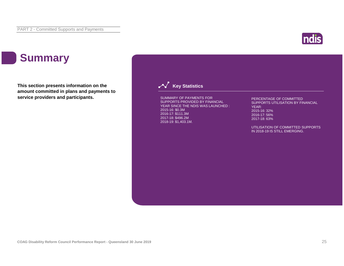

### **Summary**

**This section presents information on the amount committed in plans and payments to service providers and participants.**

#### **Key Statistics**

SUMMARY OF PAYMENTS FOR SUPPORTS PROVIDED BY FINANCIAL YEAR SINCE THE NDIS WAS LAUNCHED : 2015-16: \$0.3M 2016-17: \$111.3M 2017-18: \$496.2M 2018-19: \$1,403.1M.

PERCENTAGE OF COMMITTED SUPPORTS UTILISATION BY FINANCIAL YEAR: 2015-16: 32% 2016-17: 56% 2017-18: 63%

UTILISATION OF COMMITTED SUPPORTS IN 2018-19 IS STILL EMERGING.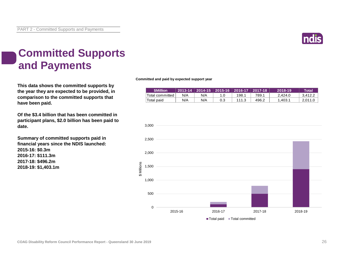

### **Committed Supports and Payments**

**This data shows the committed supports by the year they are expected to be provided, in comparison to the committed supports that have been paid.**

**Of the \$3.4 billion that has been committed in participant plans, \$2.0 billion has been paid to date.**

**Summary of committed supports paid in financial years since the NDIS launched: 2015-16: \$0.3m 2016-17: \$111.3m 2017-18: \$496.2m 2018-19: \$1,403.1m**

**Committed and paid by expected support year**

| <b>\$Million</b> |     | 2013-14   2014-15   2015-16   2016-17   2017-18 |       |       | 2018-19 | Total   |
|------------------|-----|-------------------------------------------------|-------|-------|---------|---------|
| Total committed  | N/A | N/A                                             | 198.  | 789.1 | 2.424.0 | 3.412.2 |
| `Total paid      | N/A | N/A                                             | 111.3 | 496.2 | .403.1  | 2.011.0 |

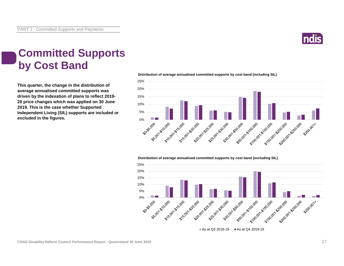

### **Committed Supports by Cost Band**

**This quarter, the change in the distribution of average annualised committed supports was driven by the indexation of plans to reflect 2019- 20 price changes which was applied on 30 June 2019. This is the case whether Supported Independent Living (SIL) supports are included or excluded in the figures.**



**Distribution of average annualised committed supports by cost band (including SIL)** 

#### **Distribution of average annualised committed supports by cost band (excluding SIL)**



As at Q3 2018-19  $\blacksquare$  As at Q4 2018-19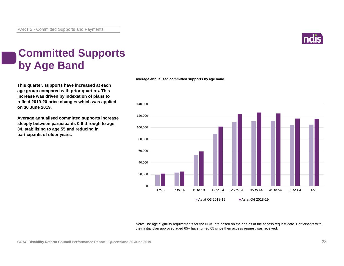

### **Committed Supports by Age Band**

**This quarter, supports have increased at each age group compared with prior quarters. This increase was driven by indexation of plans to reflect 2019-20 price changes which was applied on 30 June 2019.** 

**Average annualised committed supports increase steeply between participants 0-6 through to age 34, stabilising to age 55 and reducing in participants of older years.**

#### **Average annualised committed supports by age band**



Note: The age eligibility requirements for the NDIS are based on the age as at the access request date. Participants with their initial plan approved aged 65+ have turned 65 since their access request was received.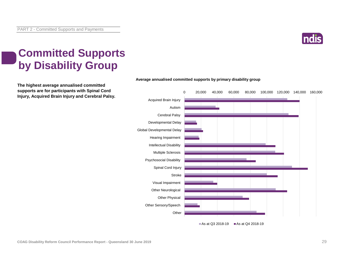

### **Committed Supports by Disability Group**

**The highest average annualised committed supports are for participants with Spinal Cord Injury, Acquired Brain Injury and Cerebral Palsy.**



#### **Average annualised committed supports by primary disability group**

**COAG Disability Reform Council Performance Report - Queensland 30 June 2019** 29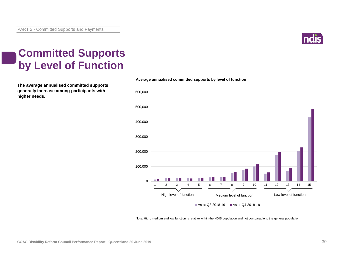

### **Committed Supports by Level of Function**

**The average annualised committed supports generally increase among participants with higher needs.**



**Average annualised committed supports by level of function**

Note: High, medium and low function is relative within the NDIS population and not comparable to the general population.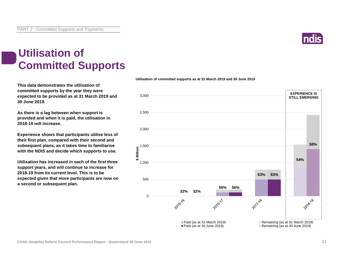

### **Utilisation of Committed Supports**

**This data demonstrates the utilisation of committed supports by the year they were expected to be provided as at 31 March 2019 and 30 June 2019.** 

**As there is a lag between when support is provided and when it is paid, the utilisation in 2018-19 will increase.**

**Experience shows that participants utilise less of their first plan, compared with their second and subsequent plans, as it takes time to familiarise with the NDIS and decide which supports to use.** 

**Utilisation has increased in each of the first three support years, and will continue to increase for 2018-19 from its current level. This is to be expected given that more participants are now on a second or subsequent plan.**

#### **Utilisation of committed supports as at 31 March 2019 and 30 June 2019**

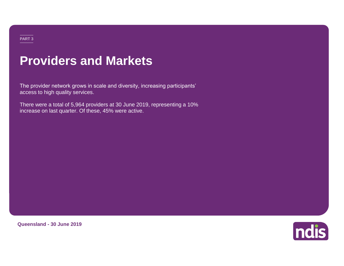#### PART 3

### **Providers and Markets**

The provider network grows in scale and diversity, increasing participants' access to high quality services.

There were a total of 5,964 providers at 30 June 2019, representing a 10% increase on last quarter. Of these, 45% were active.

**Queensland - 30 June 2019**

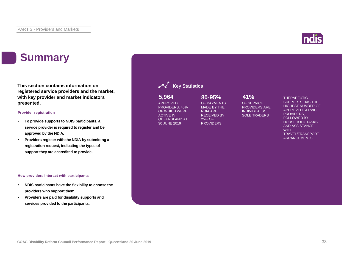### **Summary**

**This section contains information on registered service providers and the market, with key provider and market indicators presented.**

#### **Provider registration**

- **To provide supports to NDIS participants, a service provider is required to register and be approved by the NDIA.**
- **Providers register with the NDIA by submitting a registration request, indicating the types of support they are accredited to provide.**

#### **How providers interact with participants**

- **NDIS participants have the flexibility to choose the providers who support them.**
- **Providers are paid for disability supports and services provided to the participants.**

#### **Key Statistics**

#### APPROVED PROVIDERS, 45% OF WHICH WERE ACTIVE IN QUEENSLAND AT 30 JUNE 2019 **5,964 80-95% 41%**

#### OF PAYMENTS MADE BY THE

NDIA ARE

25% OF **PROVIDERS** 

RECEIVED BY

#### OF SERVICE PROVIDERS ARE

INDIVIDUALS/ SOLE TRADERS

#### THERAPEUTIC

SUPPORTS HAS THE HIGHEST NUMBER OF APPROVED SERVICE PROVIDERS, FOLLOWED BY HOUSEHOLD TASKS AND ASSISTANCE **WITH** TRAVEL/TRANSPORT ARRANGEMENTS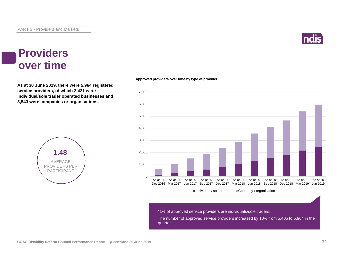

#### **Providers over time**

**As at 30 June 2019, there were 5,964 registered service providers, of which 2,421 were individual/sole trader operated businesses and 3,543 were companies or organisations.**



#### **Approved providers over time by type of provider**



41% of approved service providers are individuals/sole traders.

The number of approved service providers increased by 10% from 5,405 to 5,964 in the quarter.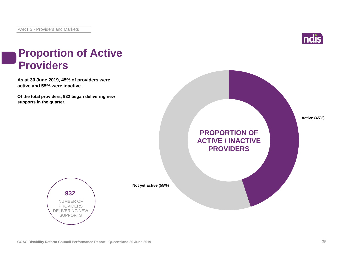

### **Proportion of Active Providers**

**As at 30 June 2019, 45% of providers were active and 55% were inactive.**

**Of the total providers, 932 began delivering new supports in the quarter.**





**Not yet active (55%)**

**COAG Disability Reform Council Performance Report - Queensland 30 June 2019** 35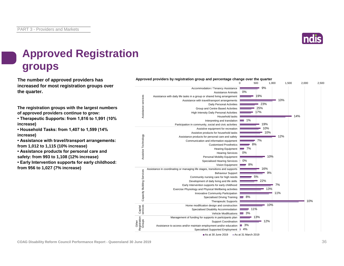

### **Approved Registration groups**

**increased for most registration groups over the quarter.**

**The registration groups with the largest numbers of approved providers continue to grow:**

**• Therapeutic Supports: from 1,816 to 1,991 (10% increase)**

**• Household Tasks: from 1,407 to 1,599 (14% increase)**

**• Assistance with travel/transport arrangements: from 1,012 to 1,115 (10% increase)**

**• Assistance products for personal care and safety: from 993 to 1,108 (12% increase)**

**• Early Intervention supports for early childhood: from 956 to 1,027 (7% increase)**

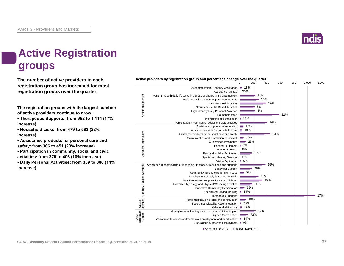

### **Active Registration groups**

**The number of active providers in each registration group has increased for most registration groups over the quarter.**

**The registration groups with the largest numbers of active providers continue to grow:**

**• Therapeutic Supports: from 952 to 1,114 (17% increase)**

**• Household tasks: from 479 to 583 (22% increase)**

**• Assistance products for personal care and safety: from 366 to 451 (23% increase)**

**• Participation in community, social and civic activities: from 370 to 406 (10% increase)**

**• Daily Personal Activities: from 339 to 386 (14% increase)**

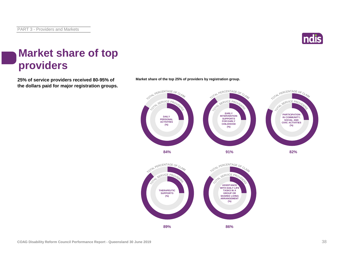

### **Market share of top providers**

**25% of service providers received 80-95% of Market share of the top 25% of providers by registration group. the dollars paid for major registration groups.**





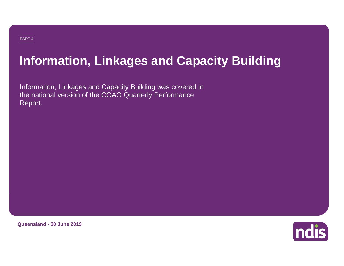### **Information, Linkages and Capacity Building**

Information, Linkages and Capacity Building was covered in the national version of the COAG Quarterly Performance Report.

**Queensland - 30 June 2019**

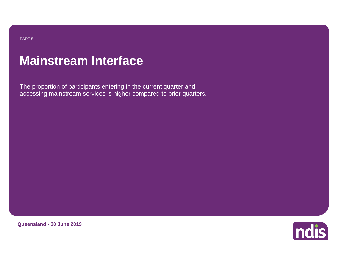### **Mainstream Interface**

The proportion of participants entering in the current quarter and accessing mainstream services is higher compared to prior quarters.

**Queensland - 30 June 2019**

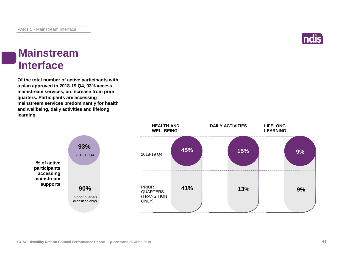#### ndis

#### **Mainstream Interface**

**Of the total number of active participants with a plan approved in 2018-19 Q4, 93% access mainstream services, an increase from prior quarters. Participants are accessing mainstream services predominantly for health and wellbeing, daily activities and lifelong learning.**